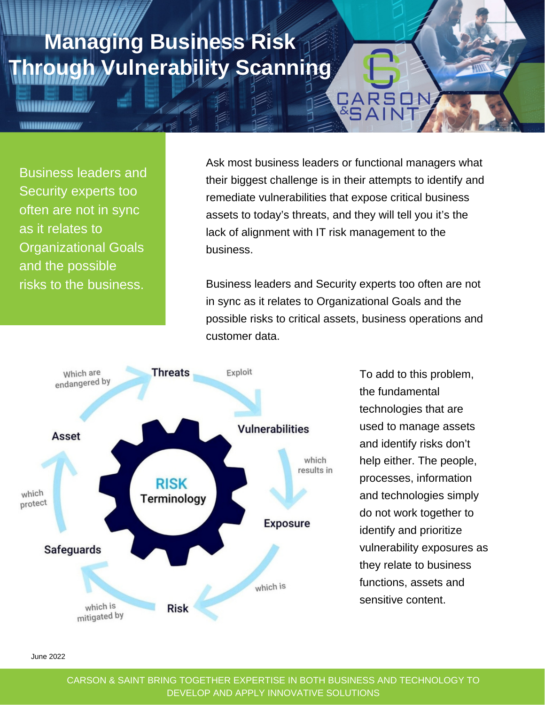## **Managing Business Risk Through Vulnerability Scanning**

**HIIIIIIIIIIIIII** 

Business leaders and Security experts too often are not in sync as it relates to Organizational Goals and the possible risks to the business.

Ask most business leaders or functional managers what their biggest challenge is in their attempts to identify and remediate vulnerabilities that expose critical business assets to today's threats, and they will tell you it's the lack of alignment with IT risk management to the business.

CARS

Business leaders and Security experts too often are not in sync as it relates to Organizational Goals and the possible risks to critical assets, business operations and customer data.



To add to this problem, the fundamental technologies that are used to manage assets and identify risks don't help either. The people, processes, information and technologies simply do not work together to identify and prioritize vulnerability exposures as they relate to business functions, assets and sensitive content.

June 2022